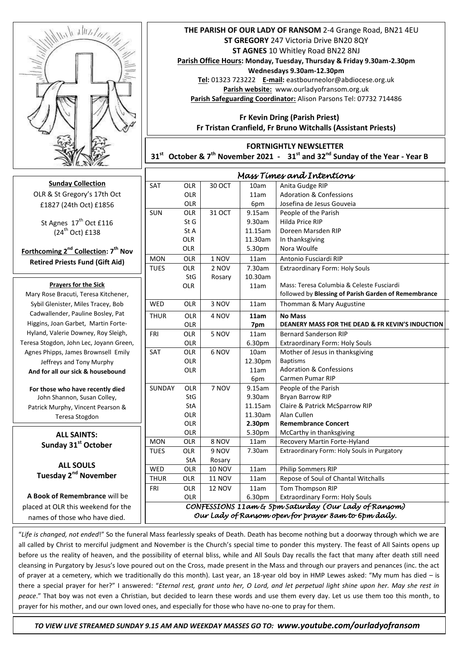

**Sunday Collection**  OLR & St Gregory's 17th Oct £1827 (24th Oct) £1856

St Agnes 17<sup>th</sup> Oct £116  $(24^{th}$  Oct)  $f138$ 

**Forthcoming 2nd Collection: 7 th Nov Retired Priests Fund (Gift Aid)** 

### **Prayers for the Sick**

 Higgins, Joan Garbet, Martin Forte-Mary Rose Bracuti, Teresa Kitchener, Sybil Glenister, Miles Tracey, Bob Cadwallender, Pauline Bosley, Pat Hyland, Valerie Downey, Roy Sleigh, Teresa Stogdon, John Lec, Joyann Green, Agnes Phipps, James Brownsell Emily Jeffreys and Tony Murphy **And for all our sick & housebound**

**For those who have recently died** John Shannon, Susan Colley, Patrick Murphy, Vincent Pearson & Teresa Stogdon

### **May they rest in peace ALL SAINTS: Sunday 31st October**

**ALL SOULS Tuesday 2nd November**

**A Book of Remembrance** will be placed at OLR this weekend for the names of those who have died.

# **THE PARISH OF OUR LADY OF RANSOM** 2-4 Grange Road, BN21 4EU **ST GREGORY** 247 Victoria Drive BN20 8QY **ST AGNES** 10 Whitley Road BN22 8NJ

**Parish Office Hours: Monday, Tuesday, Thursday & Friday 9.30am-2.30pm Wednesdays 9.30am-12.30pm**

**Tel:** 01323 723222 **E-mail:** eastbourneolor@abdiocese.org.uk **Parish website:** [www.ourladyofransom.org.uk](http://www.ourladyofransom.org.uk/) **Parish Safeguarding Coordinator:** Alison Parsons Tel: 07732 714486

 **Fr Kevin Dring (Parish Priest) Fr Tristan Cranfield, Fr Bruno Witchalls (Assistant Priests)**

## **FORTNIGHTLY NEWSLETTER**

**31st October & 7 th November 2021 - 31st and 32nd Sunday of the Year - Year B**

| Mass Times and Intentions                              |            |               |         |                                                      |
|--------------------------------------------------------|------------|---------------|---------|------------------------------------------------------|
| <b>SAT</b>                                             | <b>OLR</b> | 30 OCT        | 10am    | Anita Gudge RIP                                      |
|                                                        | <b>OLR</b> |               | 11am    | <b>Adoration &amp; Confessions</b>                   |
|                                                        | OLR        |               | 6pm     | Josefina de Jesus Gouveia                            |
| SUN                                                    | <b>OLR</b> | 31 OCT        | 9.15am  | People of the Parish                                 |
|                                                        | St G       |               | 9.30am  | Hilda Price RIP                                      |
|                                                        | St A       |               | 11.15am | Doreen Marsden RIP                                   |
|                                                        | <b>OLR</b> |               | 11.30am | In thanksgiving                                      |
|                                                        | <b>OLR</b> |               | 5.30pm  | Nora Woulfe                                          |
| <b>MON</b>                                             | <b>OLR</b> | 1 NOV         | 11am    | Antonio Fusciardi RIP                                |
| <b>TUES</b>                                            | <b>OLR</b> | 2 NOV         | 7.30am  | Extraordinary Form: Holy Souls                       |
|                                                        | <b>StG</b> | Rosary        | 10.30am |                                                      |
|                                                        | <b>OLR</b> |               | 11am    | Mass: Teresa Columbia & Celeste Fusciardi            |
|                                                        |            |               |         | followed by Blessing of Parish Garden of Remembrance |
| <b>WED</b>                                             | <b>OLR</b> | 3 NOV         | 11am    | Thomman & Mary Augustine                             |
| <b>THUR</b>                                            | <b>OLR</b> | 4 NOV         | 11am    | <b>No Mass</b>                                       |
|                                                        | OLR        |               | 7pm     | DEANERY MASS FOR THE DEAD & FR KEVIN'S INDUCTION     |
| <b>FRI</b>                                             | <b>OLR</b> | 5 NOV         | 11am    | <b>Bernard Sanderson RIP</b>                         |
|                                                        | <b>OLR</b> |               | 6.30pm  | <b>Extraordinary Form: Holy Souls</b>                |
| <b>SAT</b>                                             | OLR        | 6 NOV         | 10am    | Mother of Jesus in thanksgiving                      |
|                                                        | <b>OLR</b> |               | 12.30pm | <b>Baptisms</b>                                      |
|                                                        | <b>OLR</b> |               | 11am    | <b>Adoration &amp; Confessions</b>                   |
|                                                        |            |               | 6pm     | Carmen Pumar RIP                                     |
| SUNDAY                                                 | OLR        | 7 NOV         | 9.15am  | People of the Parish                                 |
|                                                        | StG        |               | 9.30am  | Bryan Barrow RIP                                     |
|                                                        | StA        |               | 11.15am | Claire & Patrick McSparrow RIP                       |
|                                                        | <b>OLR</b> |               | 11.30am | Alan Cullen                                          |
|                                                        | <b>OLR</b> |               | 2.30pm  | <b>Remembrance Concert</b>                           |
|                                                        | OLR        |               | 5.30pm  | McCarthy in thanksgiving                             |
| <b>MON</b>                                             | <b>OLR</b> | 8 NOV         | 11am    | Recovery Martin Forte-Hyland                         |
| <b>TUES</b>                                            | <b>OLR</b> | 9 NOV         | 7.30am  | Extraordinary Form: Holy Souls in Purgatory          |
|                                                        | StA        | Rosary        |         |                                                      |
| WED                                                    | <b>OLR</b> | <b>10 NOV</b> | 11am    | <b>Philip Sommers RIP</b>                            |
| <b>THUR</b>                                            | <b>OLR</b> | <b>11 NOV</b> | 11am    | Repose of Soul of Chantal Witchalls                  |
| FRI                                                    | <b>OLR</b> | <b>12 NOV</b> | 11am    | Tom Thompson RIP                                     |
|                                                        | OLR        |               | 6.30pm  | <b>Extraordinary Form: Holy Souls</b>                |
| CONFESSIONS 11am & 5pm Saturday (Our Lady of Ransom)   |            |               |         |                                                      |
| Our Lady of Ransom open for prayer 8 am to 6 pm daily. |            |               |         |                                                      |

"*Life is changed, not ended*!" So the funeral Mass fearlessly speaks of Death. Death has become nothing but a doorway through which we are all called by Christ to merciful judgment and November is the Church's special time to ponder this mystery. The feast of All Saints opens up before us the reality of heaven, and the possibility of eternal bliss, while and All Souls Day recalls the fact that many after death still need cleansing in Purgatory by Jesus's love poured out on the Cross, made present in the Mass and through our prayers and penances (inc. the act of prayer at a cemetery, which we traditionally do this month). Last year, an 18-year old boy in HMP Lewes asked: "My mum has died – is there a special prayer for her?" I answered: "*Eternal rest, grant unto her, O Lord, and let perpetual light shine upon her. May she rest in peace*." That boy was not even a Christian, but decided to learn these words and use them every day. Let us use them too this month, to prayer for his mother, and our own loved ones, and especially for those who have no-one to pray for them.

 *TO VIEW LIVE STREAMED SUNDAY 9.15 AM AND WEEKDAY MASSES GO TO: www.youtube.com/ourladyofransom*